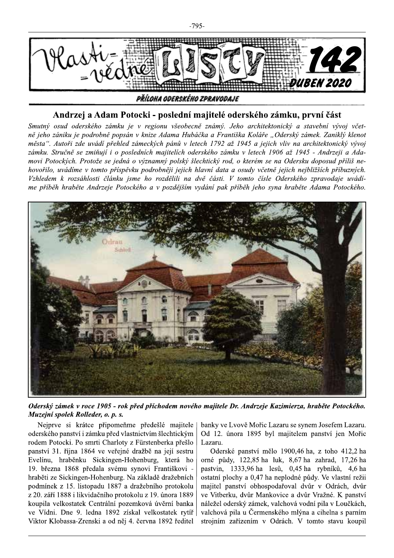

## Andrzej a Adam Potocki - poslední majitelé oderského zámku, první část

Smutný osud oderského zámku je v regionu všeobecně známý. Jeho architektonický a stavební vývoj včetně jeho zániku je podrobně popsán v knize Adama Hubáčka a Františka Koláře "Oderský zámek. Zaniklý klenot města". Autoři zde uvádí přehled zámeckých pánů v letech 1792 až 1945 a jejich vliv na architektonický vývoj zámku. Stručně se zmiňují i o posledních majitelích oderského zámku v letech 1906 až 1945 - Andrzeji a Adamovi Potockých. Protože se jedná o významný polský šlechtický rod, o kterém se na Odersku doposud příliš nehovořilo, uvádíme v tomto příspěvku podrobněji jejich hlavní data a osudy včetně jejich nejbližších příbuzných. Vzhledem k rozsáhlosti článku jsme ho rozdělili na dvě části. V tomto čísle Oderského zpravodaje uvádíme příběh hraběte Andrzeje Potockého a v pozdějším vydání pak příběh jeho syna hraběte Adama Potockého.



Oderský zámek v roce 1905 - rok před příchodem nového majitele Dr. Andrzeje Kazimierza, hraběte Potockého. Muzejní spolek Rolleder, o. p. s.

Nejprve si krátce připomeňme předešlé majitele oderského panství i zámku před vlastnictvím šlechtickým rođem Potocki. Po smrti Charloty z Fürstenberka přešlo panství 31. října 1864 ve veřejné dražbě na její sestru Evelínu, hraběnku Sickingen-Hohenburg, která ho 19. března 1868 předala svému synovi Františkovi hraběti ze Sickingen-Hohenburg. Na základě dražebních podmínek z 15. listopadu 1887 a dražebního protokolu z 20. září 1888 i likvidačního protokolu z 19. února 1889 koupila velkostatek Centrální pozemková úvěrní banka ve Vídni. Dne 9. ledna 1892 získal velkostatek rytíř Viktor Klobassa-Zrenski a od něj 4. června 1892 ředitel

banky ve Lvově Mořic Lazaru se synem Josefem Lazaru. Od 12. února 1895 byl majitelem panství jen Mořic Lazaru.

Oderské panství mělo 1900,46 ha, z toho 412,2 ha orné půdy, 122,85 ha luk, 8,67 ha zahrad, 17,26 ha pastvin, 1333,96 ha lesů, 0,45 ha rybníků, 4,6 ha ostatní plochy a 0,47 ha neplodné půdy. Ve vlastní režii majitel panství obhospodařoval dvůr v Odrách, dvůr ve Vitberku, dvůr Mankovice a dvůr Vražné. K panství náležel oderský zámek, valchová vodní pila v Loučkách, valchová pila u Čermenského mlýna a cihelna s parním strojním zařízením v Odrách. V tomto stavu koupil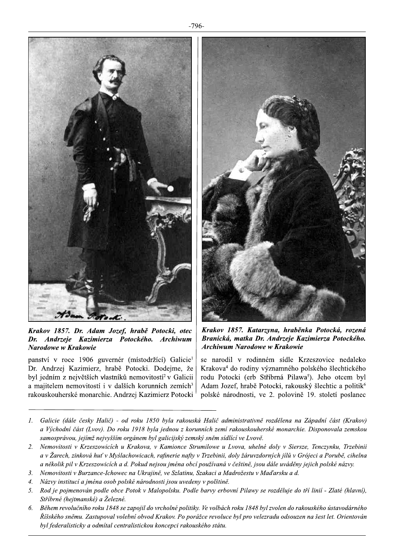

Krakov 1857, Dr. Adam Jozef, hrabě Potocki, otec Andrzeje Kazimierza Potockého. Archiwum Dr. Narodowe w Krakowie

panství v roce 1906 guvernér (místodržící) Galicie<sup>1</sup> Dr. Andrzej Kazimierz, hrabě Potocki. Dodejme, že byl jedním z největších vlastníků nemovitostí<sup>2</sup> v Galicii a majitelem nemovitostí i v dalších korunních zemích<sup>3</sup> rakouskouherské monarchie. Andrzej Kazimierz Potocki



Krakov 1857. Katarzyna, hraběnka Potocká, rozená Branická, matka Dr. Andrzeje Kazimierza Potockého, Archiwum Narodowe w Krakowie

se narodil v rodinném sídle Krzeszovice nedaleko Krakova<sup>4</sup> do rodiny významného polského šlechtického rodu Potocki (erb Stříbrná Pilawa<sup>5</sup>). Jeho otcem byl Adam Jozef, hrabě Potocki, rakouský šlechtic a politik<sup>6</sup> polské národnosti, ve 2. polovině 19. století poslanec

- Galicie (dále česky Halič) od roku 1850 byla rakouská Halič administrativně rozdělena na Západní část (Krakov)  $1.$ a Východní část (Lvov). Do roku 1918 byla jednou z korunních zemí rakouskouherské monarchie. Disponovala zemskou samosprávou, jejímž nejvyšším orgánem byl galicijský zemský sněm sídlící ve Lvově.
- $2.$ Nemovitosti v Krzeszowicích u Krakova, v Kamionce Strumilowe u Lvova, uhelné doly v Siersze, Tenczynku, Trzebinii a v Žarech, zinková huť v Myślachowicach, rafinerie nafty v Trzebinii, doly žáruvzdorných jílů v Grójeci a Porubě, cihelna a několik pil v Krzeszowicích a d. Pokud nejsou jména obcí používaná v češtině, jsou dále uváděny jejich polské názvy.
- 3. Nemovitosti v Burzance-Ichowec na Ukrajině, ve Szlatinu, Szakaci a Madrožestu v Maďarsku a d.
- $\overline{4}$ . Názvy institucí a jména osob polské národnosti jsou uvedeny v polštině.
- $5<sub>1</sub>$ Rod je pojmenován podle obce Potok v Malopolsku. Podle barvy erbovní Pilawy se rozděluje do tří linií - Zlaté (hlavní), Stříbrné (hejtmanské) a Železné.
- Během revolučního roku 1848 se zapojil do vrcholné politiky. Ve volbách roku 1848 byl zvolen do rakouského ústavodárného 6. Říšského sněmu. Zastupoval volební obvod Krakov. Po porážce revoluce byl pro velezradu odsouzen na šest let. Orientován byl federalisticky a odmítal centralistickou koncepci rakouského státu.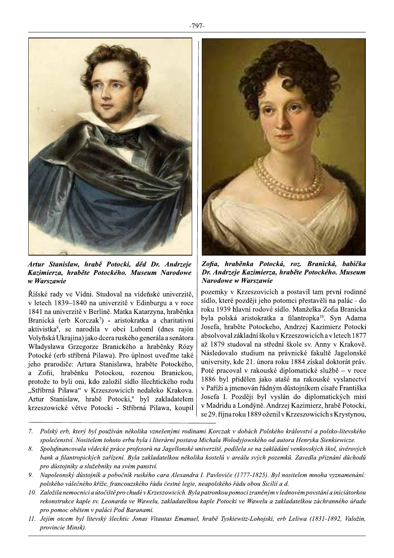

Artur Stanislaw, hrabě Potocki, děd Dr. Andrzeje Kazimierza, hraběte Potockého, Museum Narodowe w Warszawie

Říšské rady ve Vídni. Studoval na vídeňské univerzitě, v letech 1839–1840 na univerzitě v Edinburgu a v roce 1841 na univerzitě v Berlíně. Matka Katarzyna, hraběnka Branická (erb Korczak<sup>7</sup>) - aristokratka a charitativní aktivistka<sup>8</sup>, se narodila v obci Luboml (dnes rajón Volyňská Ukrajina) jako dcera ruského generála a senátora Władysława Grzegorze Branického a hraběnky Rózy Potocké (erb stříbrná Pilawa). Pro úplnost uveďme také jeho prarodiče: Artura Stanislawa, hraběte Potockého, a Zofii, hraběnku Potockou, rozenou Branickou, protože to byli oni, kdo založil sídlo šlechtického rodu "Stříbrná Pilawa" v Krzeszowicích nedaleko Krakova. Artur Stanislaw, hrabě Potocki,<sup>9</sup> byl zakladatelem krzeszowické větve Potocki - Stříbrná Pilawa, koupil



Zofia, hraběnka Potocká, roz. Branická, babička Dr. Andrzeje Kazimierza, hraběte Potockého. Museum Narodowe w Warszawie

pozemky v Krzeszovicích a postavil tam první rodinné sídlo, které později jeho potomci přestavěli na palác - do roku 1939 hlavní rodové sídlo. Manželka Zofia Branicka byla polská aristokratka a filantropka<sup>10</sup>. Syn Adama Josefa, hraběte Potockeho, Andrzej Kazimierz Potocki absolvoval základní školu v Krzeszowicích a v letech 1877 až 1879 studoval na střední škole sv. Anny v Krakově. Následovalo studium na právnické fakultě Jagelonské university, kde 21. února roku 1884 získal doktorát práv. Poté pracoval v rakouské diplomatické službě – v roce 1886 byl přidělen jako atašé na rakouské vyslanectví v Paříži a jmenován řádným důstojníkem císaře Františka Josefa I. Později byl vyslán do diplomatických misí v Madridu a Londýně. Andrzej Kazimierz, hrabě Potocki, se 29. října roku 1889 oženil v Krzeszowicích s Krystynou,

- $7.$ Polský erb, který byl používán několika vznešenými rodinami Korczak v dobách Polského království a polsko-litevského společenství. Nositelem tohoto erbu byla i literární postava Michala Wolodyjowského od autora Henryka Sienkiewicze.
- 8. Spolufinancovala vědecké práce profesorů na Jagellonské univerzitě, podílela se na zakládání venkovských škol, úvěrových bank a filantropických zařízení. Byla zakladatelkou několika kostelů v areálu svých pozemků. Zavedla přiznání důchodů pro důstojníky a služebníky na svém panství.
- Napoleonský důstojník a pobočník ruského cara Alexandra I. Pavloviče (1777-1825). Byl nositelem mnoha vyznamenání: 9. polského válečného kříže, francouzského řádu čestné legie, neapolského řádu obou Sicílií a d.
- 10. Založila nemocnici a útočiště pro chudé v Krzeszowicích. Byla patronkou pomoci zraněným v lednovém povstání a iniciátorkou rekonstrukce kaple sv. Leonarda ve Wawelu, zakladatelkou kaple Potocki ve Wawelu a zakladatelkou záchranného úřadu pro pomoc obětem v paláci Pod Baranami.
- 11. Jejím otcem byl litevský šlechtic Jonas Vitautas Emanuel, hrabě Tyskiewitz-Lohojski, erb Leliwa (1831-1892, Valožin, provincie Minsk).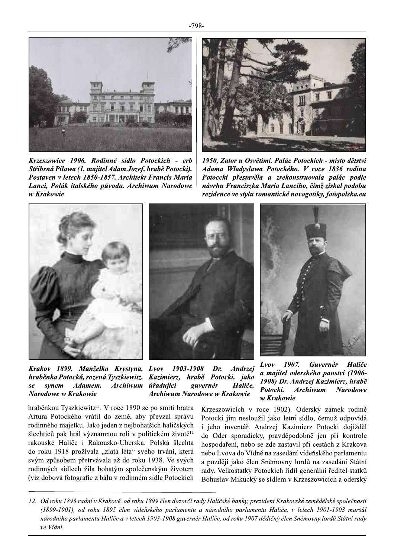

Krzeszowice 1906. Rodinné sídlo Potockich - erb Stříbrná Pilawa (1. majitel Adam Jozef, hrabě Potocki). Postaven v letech 1850-1857. Architekt Francis Maria Lanci, Polák italského původu, Archiwum Narodowe w Krakowie



1950, Zator u Osvětimi. Palác Potockich - místo dětství Adama Wladyslawa Potockého. V roce 1836 rodina Potoccki přestavěla a zrekonstruovala palác podle návrhu Franciszka Maria Lanciho, čímž získal podobu rezidence ve stylu romantické novogotiky, fotopolska.eu



Krakov 1899. Manželka Krystyna, hraběnka Potocká, rozená Tyszkiewitz, svnem Adamem. Archiwum úřadující  $\mathbf{s}\rho$ Narodowe w Krakowie



Lvov 1903-1908  $Dr.$ Andrzej Kazimierz. hrabě Potocki, jako Haliče. guvernér **Archiwum Narodowe w Krakowie** 



Lvov 1907. Guvernér Haliče a majitel oderského panství (1906-1908) Dr. Andrzei Kazimierz, hrabě Potocki. **Archiwum Narodowe** w Krakowie

hraběnkou Tyszkiewitz<sup>11</sup>. V roce 1890 se po smrti bratra Artura Potockého vrátil do země, aby převzal správu rodinného majetku. Jako jeden z nejbohatších haličských šlechticů pak hrál významnou roli v politickém životě<sup>12</sup> rakouské Haliče i Rakousko-Uherska. Polská šlechta do roku 1918 prožívala "zlatá léta" svého trvání, která svým způsobem přetrvávala až do roku 1938. Ve svých rodinných sídlech žila bohatým společenským životem (viz dobová fotografie z bálu v rodinném sídle Potockich

Krzeszowicích v roce 1902). Oderský zámek rodině Potocki jim nesloužil jako letní sídlo, čemuž odpovídá i jeho inventář. Andrzej Kazimierz Potocki dojížděl do Oder sporadicky, pravděpodobně jen při kontrole hospodaření, nebo se zde zastavil při cestách z Krakova nebo Lvova do Vídně na zasedání vídeňského parlamentu a později jako člen Sněmovny lordů na zasedání Státní rady. Velkostatky Potockich řídil generální ředitel statků Bohuslav Mikucký se sídlem v Krzeszowicích a oderský

<sup>12.</sup> Od roku 1893 radní v Krakově, od roku 1899 člen dozorčí rady Haličské banky, prezident Krakovské zemědělské společnosti (1899-1901), od roku 1895 člen vídeňského parlamentu a národního parlamentu Haliče, v letech 1901-1903 maršál národního parlamentu Haliče a v letech 1903-1908 guvernér Haliče, od roku 1907 dědičný člen Sněmovny lordů Státní rady ve Vídni.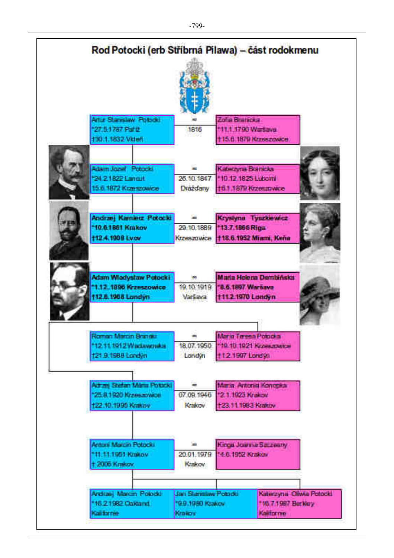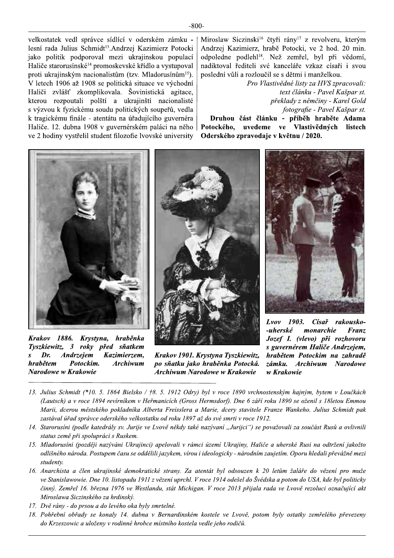velkostatek vedl správce sídlící v oderském zámku lesní rada Julius Schmidt<sup>13</sup>.Andrzej Kazimierz Potocki jako politik podporoval mezi ukrajinskou populací Haliče starorusínské<sup>14</sup> promoskevské křídlo a vystupoval proti ukrajinským nacionalistům (tzv. Mladorusínům<sup>15</sup>). V letech 1906 až 1908 se politická situace ve východní Haliči zvlášť zkomplikovala. Šovinistická agitace, kterou rozpoutali polští a ukrajinští nacionalisté s výzvou k fyzickému soudu politických soupeřů, vedla k tragickému finále - atentátu na úřadujícího guvernéra Haliče. 12. dubna 1908 v guvernérském paláci na něho ve 2 hodiny vystřelil student filozofie lvovské university



Krakov 1886. Krystyna, hraběnka Tyszkiewitz, 3 roky před sňatkem Dr. **Andrzejem** Kazimierzem, hrabětem Potockim. **Archiwum** Narodowe w Krakowie



Krakov 1901. Krystyna Tyszkiewitz, po sňatku jako hraběnka Potocká. **Archiwum Narodowe w Krakowie** 

Miroslaw Siczinski<sup>16</sup> čtyři rány<sup>17</sup> z revolveru, kterým Andrzej Kazimierz, hrabě Potocki, ve 2 hod. 20 min. odpoledne podlehl<sup>18</sup>. Než zemřel, byl při vědomí, nadiktoval řediteli své kanceláře vzkaz císaři i svou poslední vůli a rozloučil se s dětmi i manželkou.

Pro Vlastivědné listy za HVS zpracovali: text článku - Pavel Kašpar st. překlady z němčiny - Karel Gold fotografie - Pavel Kašpar st. Druhou část článku - příběh hraběte Adama

Potockého, uvedeme ve Vlastivědných listech Oderského zpravodaje v květnu / 2020.



Lvov 1903. Císař rakousko--uherské monarchie **Franz** Jozef I. (vlevo) při rozhovoru s guvernérem Haliče Andrzejem, hrabětem Potockim na zahradě zámku. Archiwum Narodowe w Krakowie

- 13. Julius Schmidt (\*10. 5. 1864 Bielsko / †8. 5. 1912 Odry) byl v roce 1890 vrchnostenským hajným, bytem v Loučkách (Lautsch) a v roce 1894 revírníkem v Heřmanicích (Gross Hermsdorf). Dne 6 září roku 1890 se oženil s 18letou Emmou Marii, dcerou městského pokladníka Alberta Freisslera a Marie, dcery stavitele Franze Wankeho. Julius Schmidt pak zastával úřad správce oderského velkostatku od roku 1897 až do své smrti v roce 1912.
- 14. Starorusíni (podle katedrály sv. Jurije ve Lvově někdy také nazývaní "Jurijci") se považovali za součást Rusů a ovlivnili status země při spolupráci s Ruskem.
- 15. Mladorusíni (později nazýváni Ukrajinci) apelovali v rámci území Ukrajiny, Haliče a uherské Rusi na odtržení jakožto odlišného národa. Postupem času se oddělili jazykem, vírou i ideologicky - národním zaujetím. Oporu hledali převážně mezi studenty.
- 16. Anarchista a člen ukrajinské demokratické strany. Za atentát byl odsouzen k 20 letům žaláře do vězení pro muže ve Stanislawowie. Dne 10. listopadu 1911 z vězení uprchl. V roce 1914 odešel do Švédska a potom do USA, kde byl politicky činný. Zemřel 16. března 1976 ve Westlandu, stát Michigan. V roce 2013 přijala rada ve Lvově rezoluci označující akt Miroslawa Siczinského za hrdinský.
- 17. Dvě rány do prsou a do levého oka byly smrtelné.
- 18. Pohřební obřady se konaly 14. dubna v Bernardinském kostele ve Lvově, potom byly ostatky zemřelého převezeny do Krzeszowic a uloženy v rodinné hrobce místního kostela vedle jeho rodičů.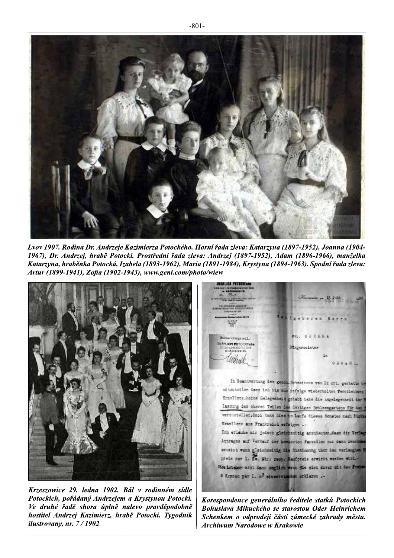

Lvov 1907. Rodina Dr. Andrzeje Kazimierza Potockého. Horní řada zleva: Katarzyna (1897-1952), Joanna (1904-1967), Dr. Andrzej, hrabě Potocki. Prostřední řada zleva: Andrzej (1897-1952), Adam (1896-1966), manželka Katarzyna, hraběnka Potocká, Izabela (1893-1962), Maria (1891-1984), Krystyna (1894-1963). Spodní řada zleva: Artur (1899-1941), Zofia (1902-1943), www.geni.com/photo/wiew



Krzeszowice 29. ledna 1902. Bál v rodinném sídle Potockich, pořádaný Andrzejem a Krystynou Potocki. Ve druhé řadě shora úplně nalevo pravděpodobně hostitel Andrzej Kazimierz, hrabě Potocki. Tygodnik ilustrovany, nr.  $7/1902$ 

**DRAPLICH POTOCHTSIN Burgerooiste** In KN21529WIG Witter In Boantwortung den genom. Schreibene von 18 ert. gestette in mitsuteilen daes ich bie mur infolge wiederholten Fernbleibens Erzollanz, koine Gelegembelt gotabt habe die Amelegenheit der? lassing das oberen Teilen des dertigen Schlassgertens für den vorristellen,doch kann Aiss in Imife dioses Monston nach Burch

Evanlienz aus Frankreich erfolgen . Ion erlaube mir joicoh glatshneitig annuteuten, daan die Verlag Attrages auf Verkauf der bewassten Parzellen nur dann zwerte gleichteitig die Sustimong über den varlangten! preis per 1. fw. Mir. resp. Maiforeis erwirkt werden wird. sistaber erst dann meglich wenn Sie sich suver alt 2 Kronen per 1. 2 enswerspreien erklaren .-

Korespondence generálního ředitele statků Potockich Bohuslava Mikuckého se starostou Oder Heinrichem Schenkem o odprodeji části zámecké zahrady městu. Archiwum Narodowe w Krakowie